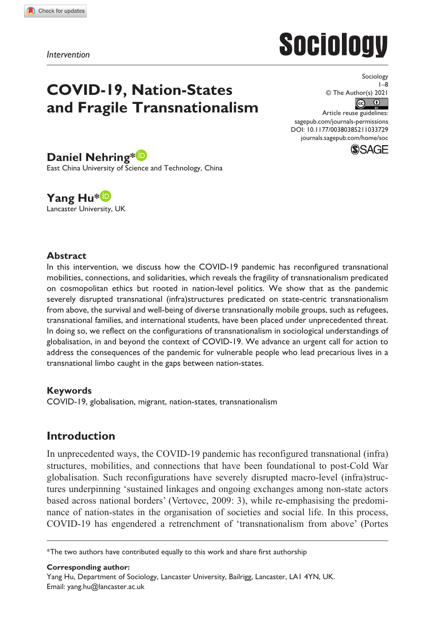**1033[729](http://crossmark.crossref.org/dialog/?doi=10.1177%2F00380385211033729&domain=pdf&date_stamp=2021-09-13)**SOC0010.1177/00380385211033729Sociology**Nehring and Hu**

*Intervention*

# **Sociology**

## **COVID-19, Nation-States and Fragile Transnationalism**

Sociology 1–8 © The Author(s) 2021  $\boxed{6}$ Article reuse guidelines:

DOI: 10.1177/00380385211033729 [sagepub.com/journals-permissions](https://uk.sagepub.com/en-gb/journals-permissions) [journals.sagepub.com/home/soc](https://journals.sagepub.com/home/soc)



## **Daniel Nehring\***

East China University of Science and Technology, China

**Yang Hu\*** Lancaster University, UK

## **Abstract**

In this intervention, we discuss how the COVID-19 pandemic has reconfigured transnational mobilities, connections, and solidarities, which reveals the fragility of transnationalism predicated on cosmopolitan ethics but rooted in nation-level politics. We show that as the pandemic severely disrupted transnational (infra)structures predicated on state-centric transnationalism from above, the survival and well-being of diverse transnationally mobile groups, such as refugees, transnational families, and international students, have been placed under unprecedented threat. In doing so, we reflect on the configurations of transnationalism in sociological understandings of globalisation, in and beyond the context of COVID-19. We advance an urgent call for action to address the consequences of the pandemic for vulnerable people who lead precarious lives in a transnational limbo caught in the gaps between nation-states.

## **Keywords**

COVID-19, globalisation, migrant, nation-states, transnationalism

## **Introduction**

In unprecedented ways, the COVID-19 pandemic has reconfigured transnational (infra) structures, mobilities, and connections that have been foundational to post-Cold War globalisation. Such reconfigurations have severely disrupted macro-level (infra)structures underpinning 'sustained linkages and ongoing exchanges among non-state actors based across national borders' (Vertovec, 2009: 3), while re-emphasising the predominance of nation-states in the organisation of societies and social life. In this process, COVID-19 has engendered a retrenchment of 'transnationalism from above' (Portes

#### **Corresponding author:**

Yang Hu, Department of Sociology, Lancaster University, Bailrigg, Lancaster, LA1 4YN, UK. Email: [yang.hu@lancaster.ac.uk](mailto:yang.hu@lancaster.ac.uk)

<sup>\*</sup>The two authors have contributed equally to this work and share first authorship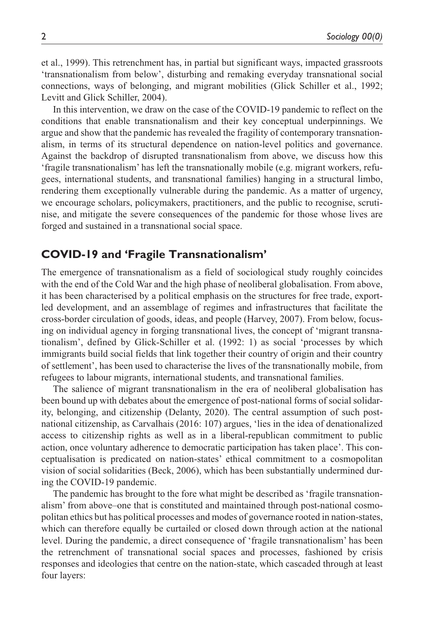et al., 1999). This retrenchment has, in partial but significant ways, impacted grassroots 'transnationalism from below', disturbing and remaking everyday transnational social connections, ways of belonging, and migrant mobilities (Glick Schiller et al., 1992; Levitt and Glick Schiller, 2004).

In this intervention, we draw on the case of the COVID-19 pandemic to reflect on the conditions that enable transnationalism and their key conceptual underpinnings. We argue and show that the pandemic has revealed the fragility of contemporary transnationalism, in terms of its structural dependence on nation-level politics and governance. Against the backdrop of disrupted transnationalism from above, we discuss how this 'fragile transnationalism' has left the transnationally mobile (e.g. migrant workers, refugees, international students, and transnational families) hanging in a structural limbo, rendering them exceptionally vulnerable during the pandemic. As a matter of urgency, we encourage scholars, policymakers, practitioners, and the public to recognise, scrutinise, and mitigate the severe consequences of the pandemic for those whose lives are forged and sustained in a transnational social space.

## **COVID-19 and 'Fragile Transnationalism'**

The emergence of transnationalism as a field of sociological study roughly coincides with the end of the Cold War and the high phase of neoliberal globalisation. From above, it has been characterised by a political emphasis on the structures for free trade, exportled development, and an assemblage of regimes and infrastructures that facilitate the cross-border circulation of goods, ideas, and people (Harvey, 2007). From below, focusing on individual agency in forging transnational lives, the concept of 'migrant transnationalism', defined by Glick-Schiller et al. (1992: 1) as social 'processes by which immigrants build social fields that link together their country of origin and their country of settlement', has been used to characterise the lives of the transnationally mobile, from refugees to labour migrants, international students, and transnational families.

The salience of migrant transnationalism in the era of neoliberal globalisation has been bound up with debates about the emergence of post-national forms of social solidarity, belonging, and citizenship (Delanty, 2020). The central assumption of such postnational citizenship, as Carvalhais (2016: 107) argues, 'lies in the idea of denationalized access to citizenship rights as well as in a liberal-republican commitment to public action, once voluntary adherence to democratic participation has taken place'. This conceptualisation is predicated on nation-states' ethical commitment to a cosmopolitan vision of social solidarities (Beck, 2006), which has been substantially undermined during the COVID-19 pandemic.

The pandemic has brought to the fore what might be described as 'fragile transnationalism' from above–one that is constituted and maintained through post-national cosmopolitan ethics but has political processes and modes of governance rooted in nation-states, which can therefore equally be curtailed or closed down through action at the national level. During the pandemic, a direct consequence of 'fragile transnationalism' has been the retrenchment of transnational social spaces and processes, fashioned by crisis responses and ideologies that centre on the nation-state, which cascaded through at least four layers: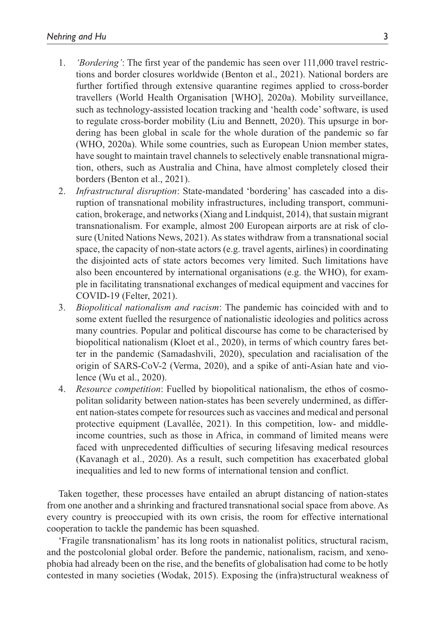- 1. *'Bordering'*: The first year of the pandemic has seen over 111,000 travel restrictions and border closures worldwide (Benton et al., 2021). National borders are further fortified through extensive quarantine regimes applied to cross-border travellers (World Health Organisation [WHO], 2020a). Mobility surveillance, such as technology-assisted location tracking and 'health code' software, is used to regulate cross-border mobility (Liu and Bennett, 2020). This upsurge in bordering has been global in scale for the whole duration of the pandemic so far (WHO, 2020a). While some countries, such as European Union member states, have sought to maintain travel channels to selectively enable transnational migration, others, such as Australia and China, have almost completely closed their borders (Benton et al., 2021).
- 2. *Infrastructural disruption*: State-mandated 'bordering' has cascaded into a disruption of transnational mobility infrastructures, including transport, communication, brokerage, and networks (Xiang and Lindquist, 2014), that sustain migrant transnationalism. For example, almost 200 European airports are at risk of closure (United Nations News, 2021). As states withdraw from a transnational social space, the capacity of non-state actors (e.g. travel agents, airlines) in coordinating the disjointed acts of state actors becomes very limited. Such limitations have also been encountered by international organisations (e.g. the WHO), for example in facilitating transnational exchanges of medical equipment and vaccines for COVID-19 (Felter, 2021).
- 3. *Biopolitical nationalism and racism*: The pandemic has coincided with and to some extent fuelled the resurgence of nationalistic ideologies and politics across many countries. Popular and political discourse has come to be characterised by biopolitical nationalism (Kloet et al., 2020), in terms of which country fares better in the pandemic (Samadashvili, 2020), speculation and racialisation of the origin of SARS-CoV-2 (Verma, 2020), and a spike of anti-Asian hate and violence (Wu et al., 2020).
- 4. *Resource competition*: Fuelled by biopolitical nationalism, the ethos of cosmopolitan solidarity between nation-states has been severely undermined, as different nation-states compete for resources such as vaccines and medical and personal protective equipment (Lavallée, 2021). In this competition, low- and middleincome countries, such as those in Africa, in command of limited means were faced with unprecedented difficulties of securing lifesaving medical resources (Kavanagh et al., 2020). As a result, such competition has exacerbated global inequalities and led to new forms of international tension and conflict.

Taken together, these processes have entailed an abrupt distancing of nation-states from one another and a shrinking and fractured transnational social space from above. As every country is preoccupied with its own crisis, the room for effective international cooperation to tackle the pandemic has been squashed.

'Fragile transnationalism' has its long roots in nationalist politics, structural racism, and the postcolonial global order. Before the pandemic, nationalism, racism, and xenophobia had already been on the rise, and the benefits of globalisation had come to be hotly contested in many societies (Wodak, 2015). Exposing the (infra)structural weakness of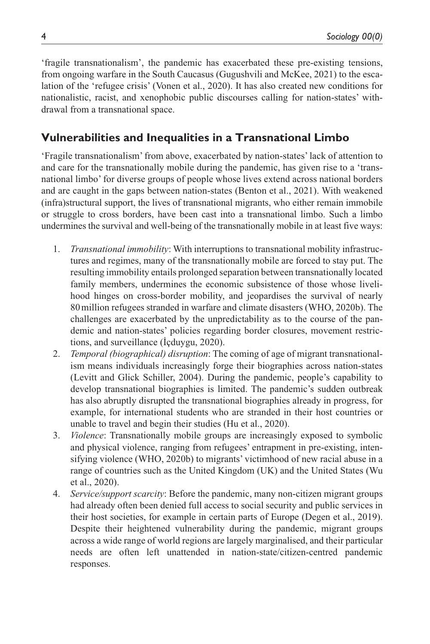'fragile transnationalism', the pandemic has exacerbated these pre-existing tensions, from ongoing warfare in the South Caucasus (Gugushvili and McKee, 2021) to the escalation of the 'refugee crisis' (Vonen et al., 2020). It has also created new conditions for nationalistic, racist, and xenophobic public discourses calling for nation-states' withdrawal from a transnational space.

## **Vulnerabilities and Inequalities in a Transnational Limbo**

'Fragile transnationalism' from above, exacerbated by nation-states' lack of attention to and care for the transnationally mobile during the pandemic, has given rise to a 'transnational limbo' for diverse groups of people whose lives extend across national borders and are caught in the gaps between nation-states (Benton et al., 2021). With weakened (infra)structural support, the lives of transnational migrants, who either remain immobile or struggle to cross borders, have been cast into a transnational limbo. Such a limbo undermines the survival and well-being of the transnationally mobile in at least five ways:

- 1. *Transnational immobility*: With interruptions to transnational mobility infrastructures and regimes, many of the transnationally mobile are forced to stay put. The resulting immobility entails prolonged separation between transnationally located family members, undermines the economic subsistence of those whose livelihood hinges on cross-border mobility, and jeopardises the survival of nearly 80million refugees stranded in warfare and climate disasters (WHO, 2020b). The challenges are exacerbated by the unpredictability as to the course of the pandemic and nation-states' policies regarding border closures, movement restrictions, and surveillance (İçduygu, 2020).
- 2. *Temporal (biographical) disruption*: The coming of age of migrant transnationalism means individuals increasingly forge their biographies across nation-states (Levitt and Glick Schiller, 2004). During the pandemic, people's capability to develop transnational biographies is limited. The pandemic's sudden outbreak has also abruptly disrupted the transnational biographies already in progress, for example, for international students who are stranded in their host countries or unable to travel and begin their studies (Hu et al., 2020).
- 3. *Violence*: Transnationally mobile groups are increasingly exposed to symbolic and physical violence, ranging from refugees' entrapment in pre-existing, intensifying violence (WHO, 2020b) to migrants' victimhood of new racial abuse in a range of countries such as the United Kingdom (UK) and the United States (Wu et al., 2020).
- 4. *Service/support scarcity*: Before the pandemic, many non-citizen migrant groups had already often been denied full access to social security and public services in their host societies, for example in certain parts of Europe (Degen et al., 2019). Despite their heightened vulnerability during the pandemic, migrant groups across a wide range of world regions are largely marginalised, and their particular needs are often left unattended in nation-state/citizen-centred pandemic responses.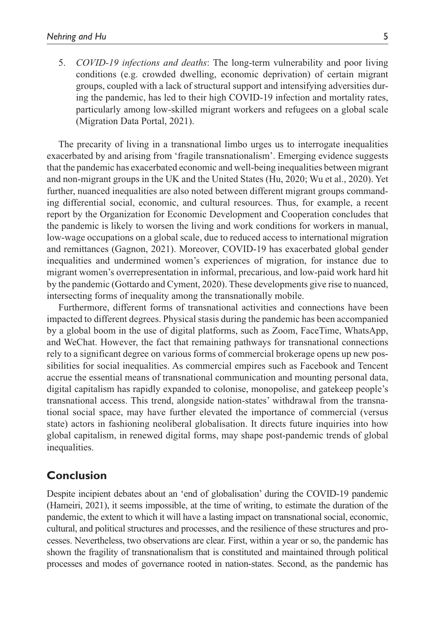5. *COVID-19 infections and deaths*: The long-term vulnerability and poor living conditions (e.g. crowded dwelling, economic deprivation) of certain migrant groups, coupled with a lack of structural support and intensifying adversities during the pandemic, has led to their high COVID-19 infection and mortality rates, particularly among low-skilled migrant workers and refugees on a global scale (Migration Data Portal, 2021).

The precarity of living in a transnational limbo urges us to interrogate inequalities exacerbated by and arising from 'fragile transnationalism'. Emerging evidence suggests that the pandemic has exacerbated economic and well-being inequalities between migrant and non-migrant groups in the UK and the United States (Hu, 2020; Wu et al., 2020). Yet further, nuanced inequalities are also noted between different migrant groups commanding differential social, economic, and cultural resources. Thus, for example, a recent report by the Organization for Economic Development and Cooperation concludes that the pandemic is likely to worsen the living and work conditions for workers in manual, low-wage occupations on a global scale, due to reduced access to international migration and remittances (Gagnon, 2021). Moreover, COVID-19 has exacerbated global gender inequalities and undermined women's experiences of migration, for instance due to migrant women's overrepresentation in informal, precarious, and low-paid work hard hit by the pandemic (Gottardo and Cyment, 2020). These developments give rise to nuanced, intersecting forms of inequality among the transnationally mobile.

Furthermore, different forms of transnational activities and connections have been impacted to different degrees. Physical stasis during the pandemic has been accompanied by a global boom in the use of digital platforms, such as Zoom, FaceTime, WhatsApp, and WeChat. However, the fact that remaining pathways for transnational connections rely to a significant degree on various forms of commercial brokerage opens up new possibilities for social inequalities. As commercial empires such as Facebook and Tencent accrue the essential means of transnational communication and mounting personal data, digital capitalism has rapidly expanded to colonise, monopolise, and gatekeep people's transnational access. This trend, alongside nation-states' withdrawal from the transnational social space, may have further elevated the importance of commercial (versus state) actors in fashioning neoliberal globalisation. It directs future inquiries into how global capitalism, in renewed digital forms, may shape post-pandemic trends of global inequalities.

## **Conclusion**

Despite incipient debates about an 'end of globalisation' during the COVID-19 pandemic (Hameiri, 2021), it seems impossible, at the time of writing, to estimate the duration of the pandemic, the extent to which it will have a lasting impact on transnational social, economic, cultural, and political structures and processes, and the resilience of these structures and processes. Nevertheless, two observations are clear. First, within a year or so, the pandemic has shown the fragility of transnationalism that is constituted and maintained through political processes and modes of governance rooted in nation-states. Second, as the pandemic has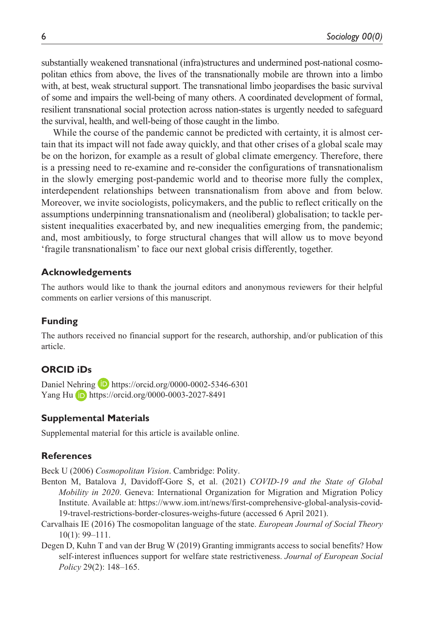substantially weakened transnational (infra)structures and undermined post-national cosmopolitan ethics from above, the lives of the transnationally mobile are thrown into a limbo with, at best, weak structural support. The transnational limbo jeopardises the basic survival of some and impairs the well-being of many others. A coordinated development of formal, resilient transnational social protection across nation-states is urgently needed to safeguard the survival, health, and well-being of those caught in the limbo.

While the course of the pandemic cannot be predicted with certainty, it is almost certain that its impact will not fade away quickly, and that other crises of a global scale may be on the horizon, for example as a result of global climate emergency. Therefore, there is a pressing need to re-examine and re-consider the configurations of transnationalism in the slowly emerging post-pandemic world and to theorise more fully the complex, interdependent relationships between transnationalism from above and from below. Moreover, we invite sociologists, policymakers, and the public to reflect critically on the assumptions underpinning transnationalism and (neoliberal) globalisation; to tackle persistent inequalities exacerbated by, and new inequalities emerging from, the pandemic; and, most ambitiously, to forge structural changes that will allow us to move beyond 'fragile transnationalism' to face our next global crisis differently, together.

#### **Acknowledgements**

The authors would like to thank the journal editors and anonymous reviewers for their helpful comments on earlier versions of this manuscript.

#### **Funding**

The authors received no financial support for the research, authorship, and/or publication of this article.

### **ORCID iDs**

Daniel Nehring **D** <https://orcid.org/0000-0002-5346-6301> Yang Hu <https://orcid.org/0000-0003-2027-8491>

#### **Supplemental Materials**

Supplemental material for this article is available online.

#### **References**

Beck U (2006) *Cosmopolitan Vision*. Cambridge: Polity.

- Benton M, Batalova J, Davidoff-Gore S, et al. (2021) *COVID-19 and the State of Global Mobility in 2020*. Geneva: International Organization for Migration and Migration Policy Institute. Available at: [https://www.iom.int/news/first-comprehensive-global-analysis-covid-](https://www.iom.int/news/first-comprehensive-global-analysis-covid-19-travel-restrictions-border-closures-weighs-future)[19-travel-restrictions-border-closures-weighs-future](https://www.iom.int/news/first-comprehensive-global-analysis-covid-19-travel-restrictions-border-closures-weighs-future) (accessed 6 April 2021).
- Carvalhais IE (2016) The cosmopolitan language of the state. *European Journal of Social Theory* 10(1): 99–111.
- Degen D, Kuhn T and van der Brug W (2019) Granting immigrants access to social benefits? How self-interest influences support for welfare state restrictiveness. *Journal of European Social Policy* 29(2): 148–165.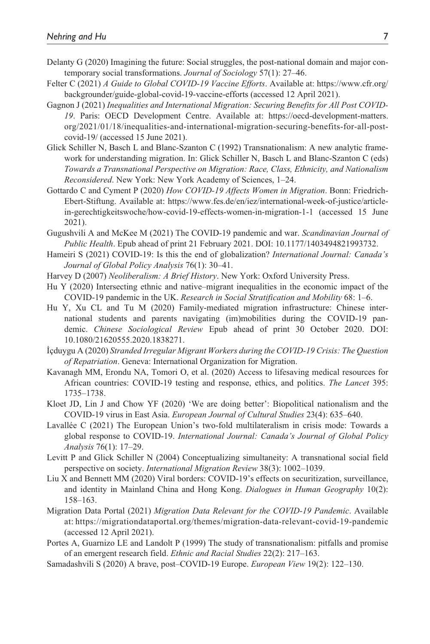- Delanty G (2020) Imagining the future: Social struggles, the post-national domain and major contemporary social transformations. *Journal of Sociology* 57(1): 27–46.
- Felter C (2021) *A Guide to Global COVID-19 Vaccine Efforts*. Available at: [https://www.cfr.org/](https://www.cfr.org/backgrounder/guide-global-covid-19-vaccine-efforts) [backgrounder/guide-global-covid-19-vaccine-efforts](https://www.cfr.org/backgrounder/guide-global-covid-19-vaccine-efforts) (accessed 12 April 2021).
- Gagnon J (2021) *Inequalities and International Migration: Securing Benefits for All Post COVID-19*. Paris: OECD Development Centre. Available at: [https://oecd-development-matters.](https://oecd-development-matters.org/2021/01/18/inequalities-and-international-migration-securing-benefits-for-all-post-covid-19/) [org/2021/01/18/inequalities-and-international-migration-securing-benefits-for-all-post](https://oecd-development-matters.org/2021/01/18/inequalities-and-international-migration-securing-benefits-for-all-post-covid-19/)[covid-19/](https://oecd-development-matters.org/2021/01/18/inequalities-and-international-migration-securing-benefits-for-all-post-covid-19/) (accessed 15 June 2021).
- Glick Schiller N, Basch L and Blanc-Szanton C (1992) Transnationalism: A new analytic framework for understanding migration. In: Glick Schiller N, Basch L and Blanc-Szanton C (eds) *Towards a Transnational Perspective on Migration: Race, Class, Ethnicity, and Nationalism Reconsidered*. New York: New York Academy of Sciences, 1–24.
- Gottardo C and Cyment P (2020) *How COVID-19 Affects Women in Migration*. Bonn: Friedrich-Ebert-Stiftung. Available at: [https://www.fes.de/en/iez/international-week-of-justice/article](https://www.fes.de/en/iez/international-week-of-justice/article-in-gerechtigkeitswoche/how-covid-19-effects-women-in-migration-1-1)[in-gerechtigkeitswoche/how-covid-19-effects-women-in-migration-1-1](https://www.fes.de/en/iez/international-week-of-justice/article-in-gerechtigkeitswoche/how-covid-19-effects-women-in-migration-1-1) (accessed 15 June 2021).
- Gugushvili A and McKee M (2021) The COVID-19 pandemic and war. *Scandinavian Journal of Public Health*. Epub ahead of print 21 February 2021. DOI: 10.1177/1403494821993732.
- Hameiri S (2021) COVID-19: Is this the end of globalization? *International Journal: Canada's Journal of Global Policy Analysis* 76(1): 30–41.
- Harvey D (2007) *Neoliberalism: A Brief History*. New York: Oxford University Press.
- Hu Y (2020) Intersecting ethnic and native–migrant inequalities in the economic impact of the COVID-19 pandemic in the UK. *Research in Social Stratification and Mobility* 68: 1–6.
- Hu Y, Xu CL and Tu M (2020) Family-mediated migration infrastructure: Chinese international students and parents navigating (im)mobilities during the COVID-19 pandemic. *Chinese Sociological Review* Epub ahead of print 30 October 2020. DOI: 10.1080/21620555.2020.1838271.
- İçduygu A (2020) *Stranded Irregular Migrant Workers during the COVID-19 Crisis: The Question of Repatriation*. Geneva: International Organization for Migration.
- Kavanagh MM, Erondu NA, Tomori O, et al. (2020) Access to lifesaving medical resources for African countries: COVID-19 testing and response, ethics, and politics. *The Lancet* 395: 1735–1738.
- Kloet JD, Lin J and Chow YF (2020) 'We are doing better': Biopolitical nationalism and the COVID-19 virus in East Asia. *European Journal of Cultural Studies* 23(4): 635–640.
- Lavallée C (2021) The European Union's two-fold multilateralism in crisis mode: Towards a global response to COVID-19. *International Journal: Canada's Journal of Global Policy Analysis* 76(1): 17–29.
- Levitt P and Glick Schiller N (2004) Conceptualizing simultaneity: A transnational social field perspective on society. *International Migration Review* 38(3): 1002–1039.
- Liu X and Bennett MM (2020) Viral borders: COVID-19's effects on securitization, surveillance, and identity in Mainland China and Hong Kong. *Dialogues in Human Geography* 10(2): 158–163.
- Migration Data Portal (2021) *Migration Data Relevant for the COVID-19 Pandemic*. Available at: <https://migrationdataportal.org/themes/migration-data-relevant-covid-19-pandemic> (accessed 12 April 2021).
- Portes A, Guarnizo LE and Landolt P (1999) The study of transnationalism: pitfalls and promise of an emergent research field. *Ethnic and Racial Studies* 22(2): 217–163.
- Samadashvili S (2020) A brave, post–COVID-19 Europe. *European View* 19(2): 122–130.